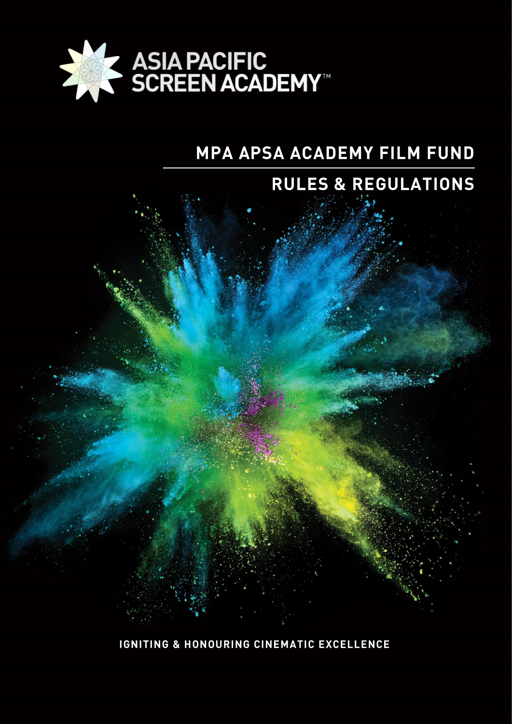

# MPA APSA ACADEMY FILM FUND

# **RULES & REGULATIONS**



**IGNITING & HONOURING CINEMATIC EXCELLENCE**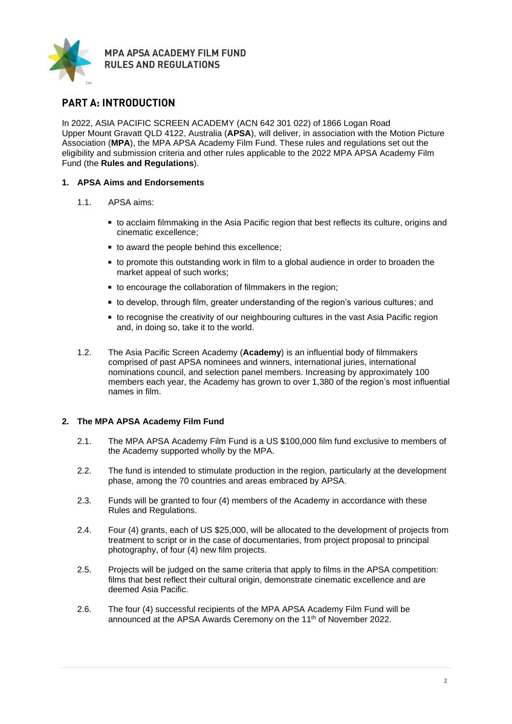

# **PART A: INTRODUCTION**

In 2022, ASIA PACIFIC SCREEN ACADEMY (ACN 642 301 022) of 1866 Logan Road Upper Mount Gravatt QLD 4122, Australia (**APSA**), will deliver, in association with the Motion Picture Association (**MPA**), the MPA APSA Academy Film Fund. These rules and regulations set out the eligibility and submission criteria and other rules applicable to the 2022 MPA APSA Academy Film Fund (the **Rules and Regulations**).

## **1. APSA Aims and Endorsements**

- 1.1. APSA aims:
	- to acclaim filmmaking in the Asia Pacific region that best reflects its culture, origins and cinematic excellence;
	- to award the people behind this excellence;
	- to promote this outstanding work in film to a global audience in order to broaden the market appeal of such works;
	- to encourage the collaboration of filmmakers in the region:
	- to develop, through film, greater understanding of the region's various cultures; and
	- to recognise the creativity of our neighbouring cultures in the vast Asia Pacific region and, in doing so, take it to the world.
- 1.2. The Asia Pacific Screen Academy (**Academy**) is an influential body of filmmakers comprised of past APSA nominees and winners, international juries, international nominations council, and selection panel members. Increasing by approximately 100 members each year, the Academy has grown to over 1,380 of the region's most influential names in film.

# **2. The MPA APSA Academy Film Fund**

- 2.1. The MPA APSA Academy Film Fund is a US \$100,000 film fund exclusive to members of the Academy supported wholly by the MPA.
- 2.2. The fund is intended to stimulate production in the region, particularly at the development phase, among the 70 countries and areas embraced by APSA.
- 2.3. Funds will be granted to four (4) members of the Academy in accordance with these Rules and Regulations.
- 2.4. Four (4) grants, each of US \$25,000, will be allocated to the development of projects from treatment to script or in the case of documentaries, from project proposal to principal photography, of four (4) new film projects.
- 2.5. Projects will be judged on the same criteria that apply to films in the APSA competition: films that best reflect their cultural origin, demonstrate cinematic excellence and are deemed Asia Pacific.
- 2.6. The four (4) successful recipients of the MPA APSA Academy Film Fund will be announced at the APSA Awards Ceremony on the 11<sup>th</sup> of November 2022.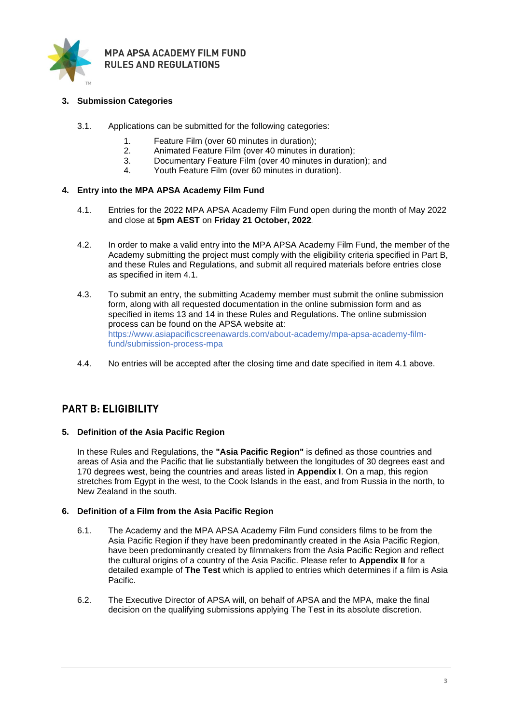

# **3. Submission Categories**

- 3.1. Applications can be submitted for the following categories:
	- 1. Feature Film (over 60 minutes in duration);
	- 2. Animated Feature Film (over 40 minutes in duration);
	- 3. Documentary Feature Film (over 40 minutes in duration); and
	- 4. Youth Feature Film (over 60 minutes in duration).

#### **4. Entry into the MPA APSA Academy Film Fund**

- 4.1. Entries for the 2022 MPA APSA Academy Film Fund open during the month of May 2022 and close at **5pm AEST** on **Friday 21 October, 2022**.
- 4.2. In order to make a valid entry into the MPA APSA Academy Film Fund, the member of the Academy submitting the project must comply with the eligibility criteria specified in Part B, and these Rules and Regulations, and submit all required materials before entries close as specified in item 4.1.
- 4.3. To submit an entry, the submitting Academy member must submit the online submission form, along with all requested documentation in the online submission form and as specified in items 13 and 14 in these Rules and Regulations. The online submission process can be found on the APSA website at: [https://www.asiapacificscreenawards.com/about-academy/mpa-apsa-academy-film](https://www.asiapacificscreenawards.com/about-academy/mpa-apsa-academy-film-fund/submission-process-mpa)[fund/submission-process-mpa](https://www.asiapacificscreenawards.com/about-academy/mpa-apsa-academy-film-fund/submission-process-mpa)
- 4.4. No entries will be accepted after the closing time and date specified in item 4.1 above.

# **PART B: ELIGIBILITY**

## **5. Definition of the Asia Pacific Region**

In these Rules and Regulations, the **"Asia Pacific Region"** is defined as those countries and areas of Asia and the Pacific that lie substantially between the longitudes of 30 degrees east and 170 degrees west, being the countries and areas listed in **Appendix I**. On a map, this region stretches from Egypt in the west, to the Cook Islands in the east, and from Russia in the north, to New Zealand in the south.

#### **6. Definition of a Film from the Asia Pacific Region**

- 6.1. The Academy and the MPA APSA Academy Film Fund considers films to be from the Asia Pacific Region if they have been predominantly created in the Asia Pacific Region, have been predominantly created by filmmakers from the Asia Pacific Region and reflect the cultural origins of a country of the Asia Pacific. Please refer to **Appendix II** for a detailed example of **The Test** which is applied to entries which determines if a film is Asia Pacific.
- 6.2. The Executive Director of APSA will, on behalf of APSA and the MPA, make the final decision on the qualifying submissions applying The Test in its absolute discretion.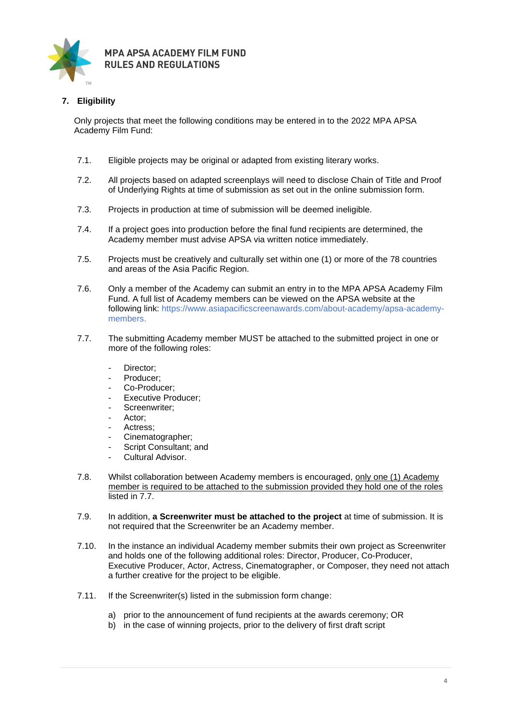

# **7. Eligibility**

Only projects that meet the following conditions may be entered in to the 2022 MPA APSA Academy Film Fund:

- 7.1. Eligible projects may be original or adapted from existing literary works.
- 7.2. All projects based on adapted screenplays will need to disclose Chain of Title and Proof of Underlying Rights at time of submission as set out in the online submission form.
- 7.3. Projects in production at time of submission will be deemed ineligible.
- 7.4. If a project goes into production before the final fund recipients are determined, the Academy member must advise APSA via written notice immediately.
- 7.5. Projects must be creatively and culturally set within one (1) or more of the 78 countries and areas of the Asia Pacific Region.
- 7.6. Only a member of the Academy can submit an entry in to the MPA APSA Academy Film Fund. A full list of Academy members can be viewed on the APSA website at the following link: [https://www.asiapacificscreenawards.com/about-academy/apsa-academy](https://www.asiapacificscreenawards.com/about-academy/apsa-academy-members)[members.](https://www.asiapacificscreenawards.com/about-academy/apsa-academy-members)
- 7.7. The submitting Academy member MUST be attached to the submitted project in one or more of the following roles:
	- Director;
	- Producer;
	- Co-Producer;
	- Executive Producer;
	- Screenwriter:
	- Actor:
	- Actress;
	- Cinematographer;
	- Script Consultant; and
	- Cultural Advisor.
- 7.8. Whilst collaboration between Academy members is encouraged, only one (1) Academy member is required to be attached to the submission provided they hold one of the roles listed in 7.7.
- 7.9. In addition, **a Screenwriter must be attached to the project** at time of submission. It is not required that the Screenwriter be an Academy member.
- 7.10. In the instance an individual Academy member submits their own project as Screenwriter and holds one of the following additional roles: Director, Producer, Co-Producer, Executive Producer, Actor, Actress, Cinematographer, or Composer, they need not attach a further creative for the project to be eligible.
- 7.11. If the Screenwriter(s) listed in the submission form change:
	- a) prior to the announcement of fund recipients at the awards ceremony; OR
	- b) in the case of winning projects, prior to the delivery of first draft script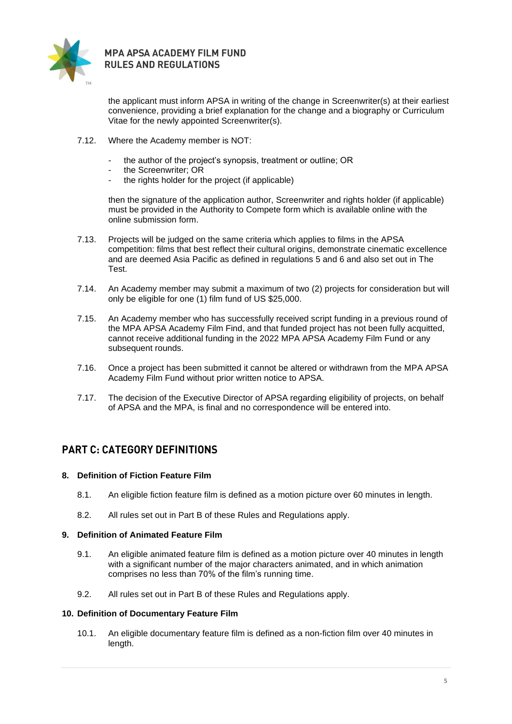

the applicant must inform APSA in writing of the change in Screenwriter(s) at their earliest convenience, providing a brief explanation for the change and a biography or Curriculum Vitae for the newly appointed Screenwriter(s).

- 7.12. Where the Academy member is NOT:
	- the author of the project's synopsis, treatment or outline; OR
	- the Screenwriter; OR
	- the rights holder for the project (if applicable)

then the signature of the application author, Screenwriter and rights holder (if applicable) must be provided in the Authority to Compete form which is available online with the online submission form.

- 7.13. Projects will be judged on the same criteria which applies to films in the APSA competition: films that best reflect their cultural origins, demonstrate cinematic excellence and are deemed Asia Pacific as defined in regulations 5 and 6 and also set out in The Test.
- 7.14. An Academy member may submit a maximum of two (2) projects for consideration but will only be eligible for one (1) film fund of US \$25,000.
- 7.15. An Academy member who has successfully received script funding in a previous round of the MPA APSA Academy Film Find, and that funded project has not been fully acquitted, cannot receive additional funding in the 2022 MPA APSA Academy Film Fund or any subsequent rounds.
- 7.16. Once a project has been submitted it cannot be altered or withdrawn from the MPA APSA Academy Film Fund without prior written notice to APSA.
- 7.17. The decision of the Executive Director of APSA regarding eligibility of projects, on behalf of APSA and the MPA, is final and no correspondence will be entered into.

# **PART C: CATEGORY DEFINITIONS**

## **8. Definition of Fiction Feature Film**

- 8.1. An eligible fiction feature film is defined as a motion picture over 60 minutes in length.
- 8.2. All rules set out in Part B of these Rules and Regulations apply.

#### **9. Definition of Animated Feature Film**

- 9.1. An eligible animated feature film is defined as a motion picture over 40 minutes in length with a significant number of the major characters animated, and in which animation comprises no less than 70% of the film's running time.
- 9.2. All rules set out in Part B of these Rules and Regulations apply.

#### **10. Definition of Documentary Feature Film**

10.1. An eligible documentary feature film is defined as a non-fiction film over 40 minutes in length.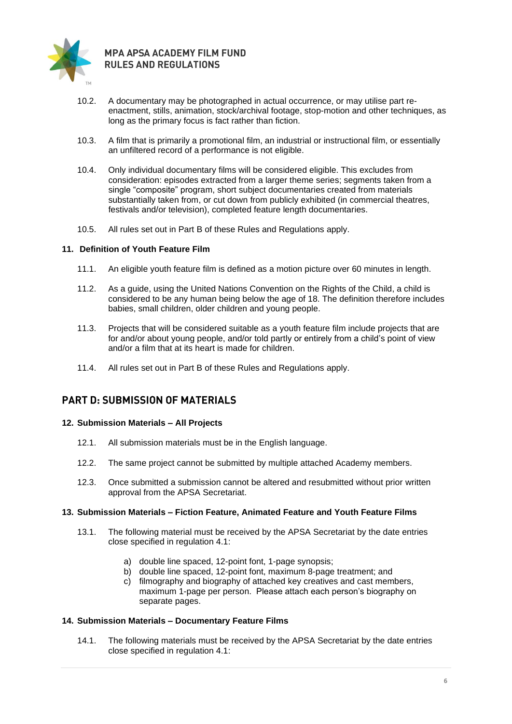

- 10.2. A documentary may be photographed in actual occurrence, or may utilise part reenactment, stills, animation, stock/archival footage, stop-motion and other techniques, as long as the primary focus is fact rather than fiction.
- 10.3. A film that is primarily a promotional film, an industrial or instructional film, or essentially an unfiltered record of a performance is not eligible.
- 10.4. Only individual documentary films will be considered eligible. This excludes from consideration: episodes extracted from a larger theme series; segments taken from a single "composite" program, short subject documentaries created from materials substantially taken from, or cut down from publicly exhibited (in commercial theatres, festivals and/or television), completed feature length documentaries.
- 10.5. All rules set out in Part B of these Rules and Regulations apply.

#### **11. Definition of Youth Feature Film**

- 11.1. An eligible youth feature film is defined as a motion picture over 60 minutes in length.
- 11.2. As a guide, using the United Nations Convention on the Rights of the Child, a child is considered to be any human being below the age of 18. The definition therefore includes babies, small children, older children and young people.
- 11.3. Projects that will be considered suitable as a youth feature film include projects that are for and/or about young people, and/or told partly or entirely from a child's point of view and/or a film that at its heart is made for children.
- 11.4. All rules set out in Part B of these Rules and Regulations apply.

# **PART D: SUBMISSION OF MATERIALS**

#### **12. Submission Materials – All Projects**

- 12.1. All submission materials must be in the English language.
- 12.2. The same project cannot be submitted by multiple attached Academy members.
- 12.3. Once submitted a submission cannot be altered and resubmitted without prior written approval from the APSA Secretariat.

#### **13. Submission Materials – Fiction Feature, Animated Feature and Youth Feature Films**

- 13.1. The following material must be received by the APSA Secretariat by the date entries close specified in regulation 4.1:
	- a) double line spaced, 12-point font, 1-page synopsis;
	- b) double line spaced, 12-point font, maximum 8-page treatment; and
	- c) filmography and biography of attached key creatives and cast members, maximum 1-page per person. Please attach each person's biography on separate pages.

#### **14. Submission Materials – Documentary Feature Films**

14.1. The following materials must be received by the APSA Secretariat by the date entries close specified in regulation 4.1: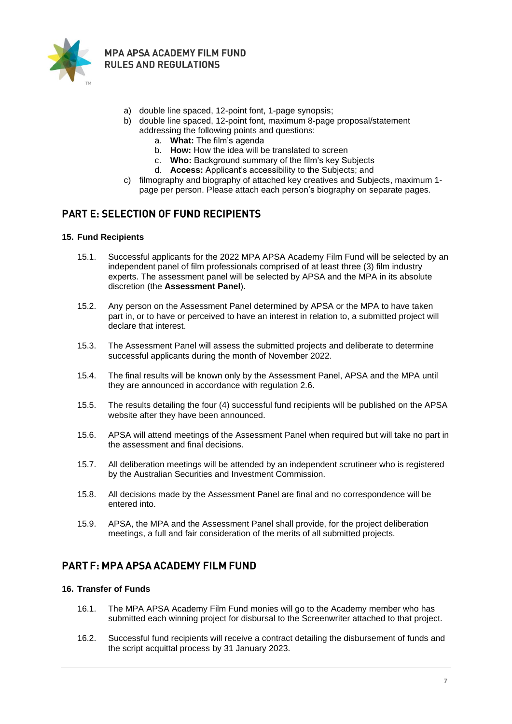

- a) double line spaced, 12-point font, 1-page synopsis;
- b) double line spaced, 12-point font, maximum 8-page proposal/statement addressing the following points and questions:
	- a. **What:** The film's agenda
	- b. **How:** How the idea will be translated to screen
	- c. **Who:** Background summary of the film's key Subjects
	- d. **Access:** Applicant's accessibility to the Subjects; and
- c) filmography and biography of attached key creatives and Subjects, maximum 1 page per person. Please attach each person's biography on separate pages.

# **PART E: SELECTION OF FUND RECIPIENTS**

#### **15. Fund Recipients**

- 15.1. Successful applicants for the 2022 MPA APSA Academy Film Fund will be selected by an independent panel of film professionals comprised of at least three (3) film industry experts. The assessment panel will be selected by APSA and the MPA in its absolute discretion (the **Assessment Panel**).
- 15.2. Any person on the Assessment Panel determined by APSA or the MPA to have taken part in, or to have or perceived to have an interest in relation to, a submitted project will declare that interest.
- 15.3. The Assessment Panel will assess the submitted projects and deliberate to determine successful applicants during the month of November 2022.
- 15.4. The final results will be known only by the Assessment Panel, APSA and the MPA until they are announced in accordance with regulation 2.6.
- 15.5. The results detailing the four (4) successful fund recipients will be published on the APSA website after they have been announced.
- 15.6. APSA will attend meetings of the Assessment Panel when required but will take no part in the assessment and final decisions.
- 15.7. All deliberation meetings will be attended by an independent scrutineer who is registered by the Australian Securities and Investment Commission.
- 15.8. All decisions made by the Assessment Panel are final and no correspondence will be entered into.
- 15.9. APSA, the MPA and the Assessment Panel shall provide, for the project deliberation meetings, a full and fair consideration of the merits of all submitted projects.

# **PART F: MPA APSA ACADEMY FILM FUND**

## **16. Transfer of Funds**

- 16.1. The MPA APSA Academy Film Fund monies will go to the Academy member who has submitted each winning project for disbursal to the Screenwriter attached to that project.
- 16.2. Successful fund recipients will receive a contract detailing the disbursement of funds and the script acquittal process by 31 January 2023.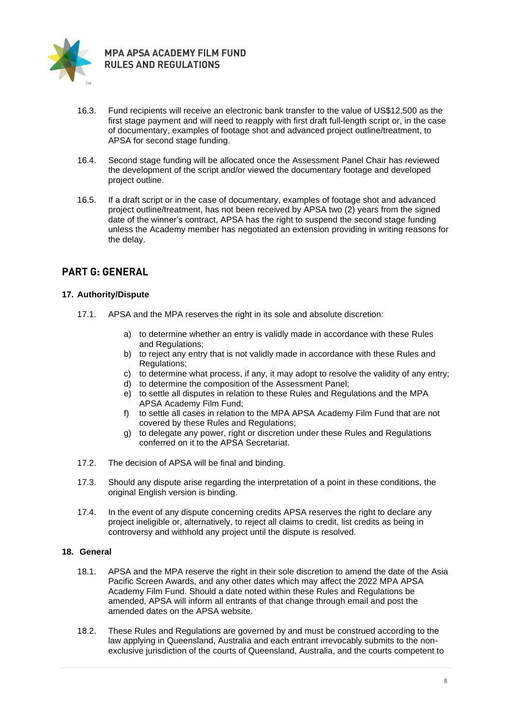

- 16.3. Fund recipients will receive an electronic bank transfer to the value of US\$12,500 as the first stage payment and will need to reapply with first draft full-length script or, in the case of documentary, examples of footage shot and advanced project outline/treatment, to APSA for second stage funding.
- 16.4. Second stage funding will be allocated once the Assessment Panel Chair has reviewed the development of the script and/or viewed the documentary footage and developed project outline.
- 16.5. If a draft script or in the case of documentary, examples of footage shot and advanced project outline/treatment, has not been received by APSA two (2) years from the signed date of the winner's contract, APSA has the right to suspend the second stage funding unless the Academy member has negotiated an extension providing in writing reasons for the delay.

# **PART G: GENERAL**

## **17. Authority/Dispute**

- 17.1. APSA and the MPA reserves the right in its sole and absolute discretion:
	- a) to determine whether an entry is validly made in accordance with these Rules and Regulations;
	- b) to reject any entry that is not validly made in accordance with these Rules and Regulations;
	- c) to determine what process, if any, it may adopt to resolve the validity of any entry;
	- d) to determine the composition of the Assessment Panel;
	- e) to settle all disputes in relation to these Rules and Regulations and the MPA APSA Academy Film Fund;
	- f) to settle all cases in relation to the MPA APSA Academy Film Fund that are not covered by these Rules and Regulations;
	- g) to delegate any power, right or discretion under these Rules and Regulations conferred on it to the APSA Secretariat.
- 17.2. The decision of APSA will be final and binding.
- 17.3. Should any dispute arise regarding the interpretation of a point in these conditions, the original English version is binding.
- 17.4. In the event of any dispute concerning credits APSA reserves the right to declare any project ineligible or, alternatively, to reject all claims to credit, list credits as being in controversy and withhold any project until the dispute is resolved.

## **18. General**

- 18.1. APSA and the MPA reserve the right in their sole discretion to amend the date of the Asia Pacific Screen Awards, and any other dates which may affect the 2022 MPA APSA Academy Film Fund. Should a date noted within these Rules and Regulations be amended, APSA will inform all entrants of that change through email and post the amended dates on the APSA website.
- 18.2. These Rules and Regulations are governed by and must be construed according to the law applying in Queensland, Australia and each entrant irrevocably submits to the nonexclusive jurisdiction of the courts of Queensland, Australia, and the courts competent to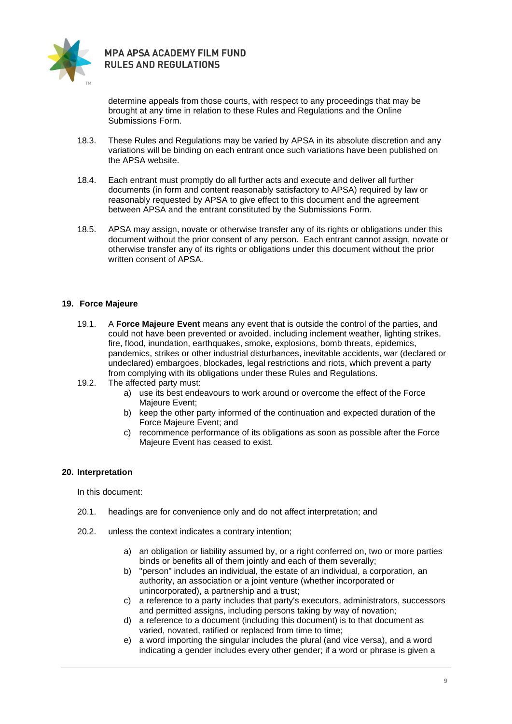

determine appeals from those courts, with respect to any proceedings that may be brought at any time in relation to these Rules and Regulations and the Online Submissions Form.

- 18.3. These Rules and Regulations may be varied by APSA in its absolute discretion and any variations will be binding on each entrant once such variations have been published on the APSA website.
- 18.4. Each entrant must promptly do all further acts and execute and deliver all further documents (in form and content reasonably satisfactory to APSA) required by law or reasonably requested by APSA to give effect to this document and the agreement between APSA and the entrant constituted by the Submissions Form.
- 18.5. APSA may assign, novate or otherwise transfer any of its rights or obligations under this document without the prior consent of any person. Each entrant cannot assign, novate or otherwise transfer any of its rights or obligations under this document without the prior written consent of APSA.

## **19. Force Majeure**

- 19.1. A **Force Majeure Event** means any event that is outside the control of the parties, and could not have been prevented or avoided, including inclement weather, lighting strikes, fire, flood, inundation, earthquakes, smoke, explosions, bomb threats, epidemics, pandemics, strikes or other industrial disturbances, inevitable accidents, war (declared or undeclared) embargoes, blockades, legal restrictions and riots, which prevent a party from complying with its obligations under these Rules and Regulations.
- 19.2. The affected party must:
	- a) use its best endeavours to work around or overcome the effect of the Force Majeure Event;
	- b) keep the other party informed of the continuation and expected duration of the Force Majeure Event; and
	- c) recommence performance of its obligations as soon as possible after the Force Majeure Event has ceased to exist.

#### **20. Interpretation**

In this document:

- 20.1. headings are for convenience only and do not affect interpretation; and
- 20.2. unless the context indicates a contrary intention;
	- a) an obligation or liability assumed by, or a right conferred on, two or more parties binds or benefits all of them jointly and each of them severally;
	- b) "person" includes an individual, the estate of an individual, a corporation, an authority, an association or a joint venture (whether incorporated or unincorporated), a partnership and a trust;
	- c) a reference to a party includes that party's executors, administrators, successors and permitted assigns, including persons taking by way of novation;
	- d) a reference to a document (including this document) is to that document as varied, novated, ratified or replaced from time to time;
	- e) a word importing the singular includes the plural (and vice versa), and a word indicating a gender includes every other gender; if a word or phrase is given a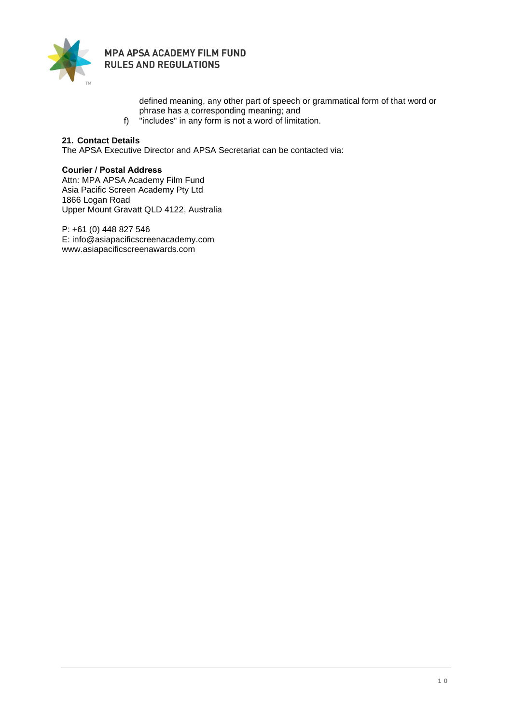

> defined meaning, any other part of speech or grammatical form of that word or phrase has a corresponding meaning; and

f) "includes" in any form is not a word of limitation.

# **21. Contact Details**

The APSA Executive Director and APSA Secretariat can be contacted via:

#### **Courier / Postal Address**

Attn: MPA APSA Academy Film Fund Asia Pacific Screen Academy Pty Ltd 1866 Logan Road Upper Mount Gravatt QLD 4122, Australia

P: +61 (0) 448 827 546 E: [info@asiapacificscreenacademy.com](mailto:info@asiapacificscreenacademy.com) www.asiapacificscreenawards.com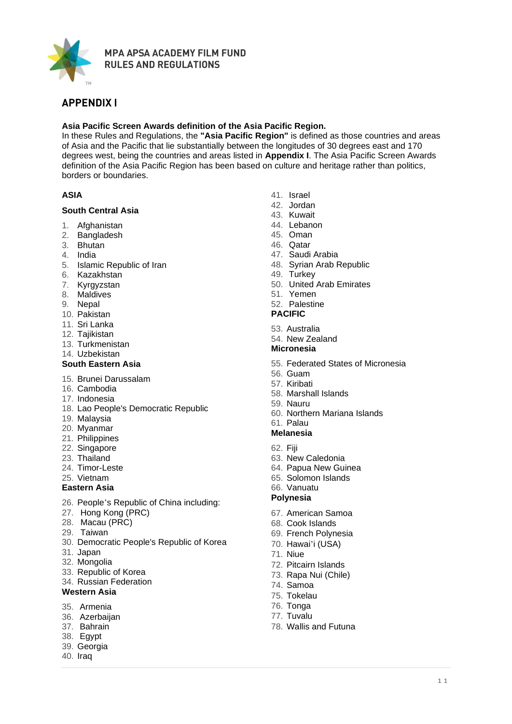

# **APPENDIX I**

## **Asia Pacific Screen Awards definition of the Asia Pacific Region.**

In these Rules and Regulations, the **"Asia Pacific Region"** is defined as those countries and areas of Asia and the Pacific that lie substantially between the longitudes of 30 degrees east and 170 degrees west, being the countries and areas listed in **Appendix I**. The Asia Pacific Screen Awards definition of the Asia Pacific Region has been based on culture and heritage rather than politics, borders or boundaries.

## **ASIA**

#### **South Central Asia**

- 1. Afghanistan
- 2. Bangladesh
- 3. Bhutan
- 4. India
- 5. Islamic Republic of Iran
- 6. Kazakhstan
- 7. Kyrgyzstan
- 8. Maldives
- 9. Nepal
- 10. Pakistan
- 11. Sri Lanka
- 12. Tajikistan
- 13. Turkmenistan
- 14. Uzbekistan

#### **South Eastern Asia**

- 15. Brunei Darussalam
- 16. Cambodia
- 17. Indonesia
- 18. Lao People's Democratic Republic
- 19. Malaysia
- 20. Myanmar
- 21. Philippines
- 22. Singapore
- 23. Thailand
- 24. Timor-Leste
- 25. Vietnam

#### **Eastern Asia**

- 26. People's Republic of [China](http://www1.cei.gov.cn/ce/region/chinamap.htm) including:
- 27. Hong Kong (PRC)
- 28. Macau (PRC)
- 29. Taiwan
- 30. Democratic People's Republic of Korea
- 31. Japan
- 32. Mongolia
- 33. Republic of Korea
- 34. Russian Federation

#### **Western Asia**

- 35. Armenia
- 36. Azerbaijan
- 37. Bahrain
- 38. Egypt
- 39. Georgia
- 40. Iraq
- 41. Israel
- 42. Jordan
- 43. Kuwait
- 44. Lebanon
- 45. Oman
- 46. Qatar
- 47. Saudi Arabia
- 48. Syrian Arab Republic
- 49. Turkey
- 50. United Arab Emirates
- 51. Yemen

#### 52. Palestine

- **PACIFIC**
- 53. Australia
- 54. New Zealand

#### **Micronesia**

- 55. Federated States of Micronesia
- 56. Guam
- 57. Kiribati
- 58. Marshall Islands
- 59. Nauru
- 60. Northern Mariana Islands

# 61. Palau

- **Melanesia**
- 62. Fiji
- 63. New Caledonia
- 64. Papua New Guinea
- 65. Solomon Islands
- 66. Vanuatu

# **Polynesia**

- 67. American Samoa
- 68. Cook Islands
- 69. French Polynesia
- 70. Hawai'i (USA)
- 71. Niue
- 72. Pitcairn Islands
- 73. Rapa Nui (Chile)
- 74. Samoa
- 75. Tokelau
- 76. Tonga
- 77. Tuvalu
- 78. Wallis and Futuna